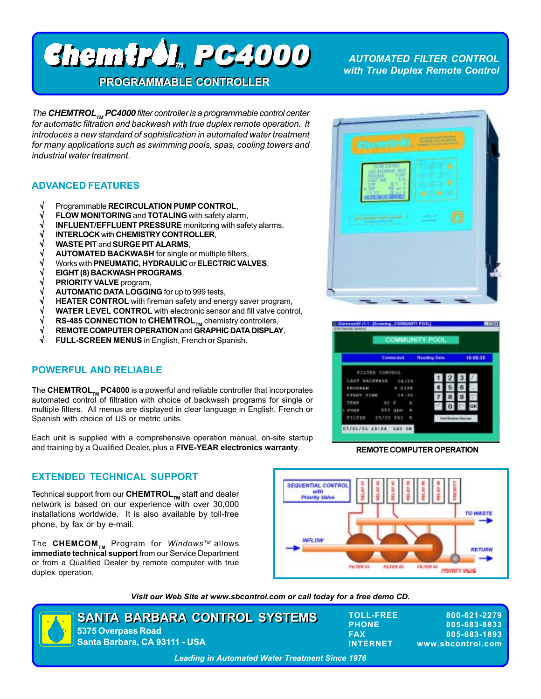# PC4000 PC4000

**PROGRAMMABLE CONTROLLER PROGRAMMABLE CONTROLLER**

 *AUTOMATED FILTER CONTROL with True Duplex Remote Control*

*The CHEMTROL<sub>TM</sub> PC4000 filter controller is a programmable control center for automatic filtration and backwash with true duplex remote operation. It introduces a new standard of sophistication in automated water treatment for many applications such as swimming pools, spas, cooling towers and industrial water treatment.*

# **ADVANCED FEATURES**

- √ Programmable **RECIRCULATION PUMP CONTROL**,
- **FLOW MONITORING** and **TOTALING** with safety alarm,
- √ **INFLUENT/EFFLUENT PRESSURE** monitoring with safety alarms,
- √ **INTERLOCK** with **CHEMISTRY CONTROLLER**,
- √ **WASTE PIT** and **SURGE PIT ALARMS**,
- √ **AUTOMATED BACKWASH** for single or multiple filters,
- √ Works with **PNEUMATIC, HYDRAULIC** or **ELECTRIC VALVES**,
- √ **EIGHT (8) BACKWASH PROGRAMS**,
- √ **PRIORITY VALVE** program,
- √ **AUTOMATIC DATA LOGGING** for up to 999 tests,
- √ **HEATER CONTROL** with fireman safety and energy saver program,
- **WATER LEVEL CONTROL** with electronic sensor and fill valve control,
- √ **RS-485 CONNECTION to CHEMTROL<sub>TM</sub> chemistry controllers,<br>√ REMOTE COMPUTER OPERATION and GRAPHIC DATA DISPLA<sup>\</sup>**
- √ **REMOTE COMPUTER OPERATION** and **GRAPHIC DATA DISPLAY**,
- **FULL-SCREEN MENUS** in English, French or Spanish.

## **POWERFUL AND RELIABLE**

The **CHEMTROL<sub>TM</sub>** PC4000 is a powerful and reliable controller that incorporates automated control of filtration with choice of backwash programs for single or multiple filters. All menus are displayed in clear language in English, French or Spanish with choice of US or metric units.

Each unit is supplied with a comprehensive operation manual, on-site startup and training by a Qualified Dealer, plus a **FIVE-YEAR electronics warranty**.

# **EXTENDED TECHNICAL SUPPORT**

Technical support from our **CHEMTROL<sub>TM</sub>** staff and dealer network is based on our experience with over 30,000 installations worldwide. It is also available by toll-free phone, by fax or by e-mail.

The **CHEMCOM**<sub>™</sub> Program for *Windows™* allows **immediate technical support** from our Service Department or from a Qualified Dealer by remote computer with true duplex operation,



*Visit our Web Site at www.sbcontrol.com or call today for a free demo CD.*





### **REMOTE COMPUTER OPERATION**